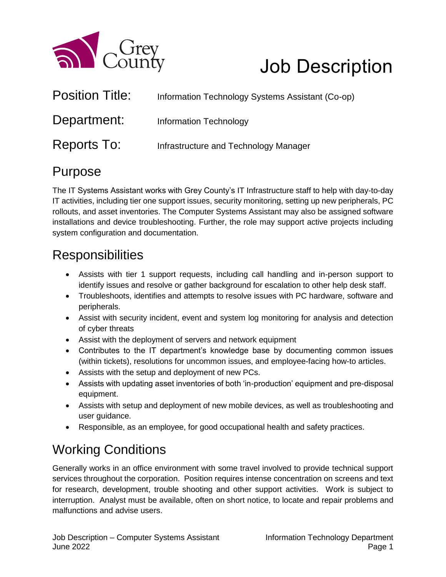

# Job Description

| <b>Position Title:</b> | Information Technology Systems Assistant (Co-op) |
|------------------------|--------------------------------------------------|
| Department:            | <b>Information Technology</b>                    |
| Reports To:            | Infrastructure and Technology Manager            |

#### Purpose

The IT Systems Assistant works with Grey County's IT Infrastructure staff to help with day-to-day IT activities, including tier one support issues, security monitoring, setting up new peripherals, PC rollouts, and asset inventories. The Computer Systems Assistant may also be assigned software installations and device troubleshooting. Further, the role may support active projects including system configuration and documentation.

## **Responsibilities**

- Assists with tier 1 support requests, including call handling and in-person support to identify issues and resolve or gather background for escalation to other help desk staff.
- Troubleshoots, identifies and attempts to resolve issues with PC hardware, software and peripherals.
- Assist with security incident, event and system log monitoring for analysis and detection of cyber threats
- Assist with the deployment of servers and network equipment
- Contributes to the IT department's knowledge base by documenting common issues (within tickets), resolutions for uncommon issues, and employee-facing how-to articles.
- Assists with the setup and deployment of new PCs.
- Assists with updating asset inventories of both 'in-production' equipment and pre-disposal equipment.
- Assists with setup and deployment of new mobile devices, as well as troubleshooting and user guidance.
- Responsible, as an employee, for good occupational health and safety practices.

# Working Conditions

Generally works in an office environment with some travel involved to provide technical support services throughout the corporation. Position requires intense concentration on screens and text for research, development, trouble shooting and other support activities. Work is subject to interruption. Analyst must be available, often on short notice, to locate and repair problems and malfunctions and advise users.